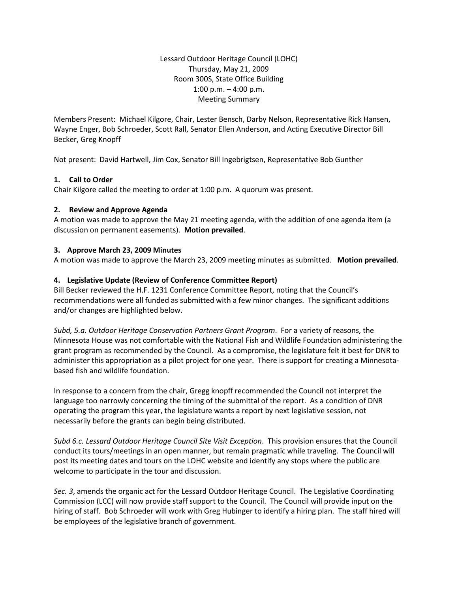Lessard Outdoor Heritage Council (LOHC) Thursday, May 21, 2009 Room 300S, State Office Building 1:00 p.m. – 4:00 p.m. Meeting Summary

Members Present: Michael Kilgore, Chair, Lester Bensch, Darby Nelson, Representative Rick Hansen, Wayne Enger, Bob Schroeder, Scott Rall, Senator Ellen Anderson, and Acting Executive Director Bill Becker, Greg Knopff

Not present: David Hartwell, Jim Cox, Senator Bill Ingebrigtsen, Representative Bob Gunther

# **1. Call to Order**

Chair Kilgore called the meeting to order at 1:00 p.m. A quorum was present.

# **2. Review and Approve Agenda**

A motion was made to approve the May 21 meeting agenda, with the addition of one agenda item (a discussion on permanent easements). **Motion prevailed**.

# **3. Approve March 23, 2009 Minutes**

A motion was made to approve the March 23, 2009 meeting minutes as submitted. **Motion prevailed**.

# **4. Legislative Update (Review of Conference Committee Report)**

Bill Becker reviewed the H.F. 1231 Conference Committee Report, noting that the Council's recommendations were all funded as submitted with a few minor changes. The significant additions and/or changes are highlighted below.

*Subd, 5.a. Outdoor Heritage Conservation Partners Grant Program*. For a variety of reasons, the Minnesota House was not comfortable with the National Fish and Wildlife Foundation administering the grant program as recommended by the Council. As a compromise, the legislature felt it best for DNR to administer this appropriation as a pilot project for one year. There is support for creating a Minnesotabased fish and wildlife foundation.

In response to a concern from the chair, Gregg knopff recommended the Council not interpret the language too narrowly concerning the timing of the submittal of the report. As a condition of DNR operating the program this year, the legislature wants a report by next legislative session, not necessarily before the grants can begin being distributed.

*Subd 6.c. Lessard Outdoor Heritage Council Site Visit Exception*. This provision ensures that the Council conduct its tours/meetings in an open manner, but remain pragmatic while traveling. The Council will post its meeting dates and tours on the LOHC website and identify any stops where the public are welcome to participate in the tour and discussion.

*Sec. 3*, amends the organic act for the Lessard Outdoor Heritage Council. The Legislative Coordinating Commission (LCC) will now provide staff support to the Council. The Council will provide input on the hiring of staff. Bob Schroeder will work with Greg Hubinger to identify a hiring plan. The staff hired will be employees of the legislative branch of government.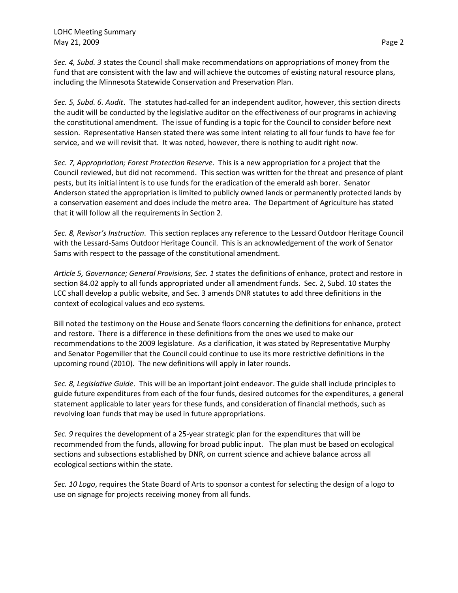*Sec. 4, Subd. 3* states the Council shall make recommendations on appropriations of money from the fund that are consistent with the law and will achieve the outcomes of existing natural resource plans, including the Minnesota Statewide Conservation and Preservation Plan.

*Sec. 5, Subd. 6. Audit*. The statutes had called for an independent auditor, however, this section directs the audit will be conducted by the legislative auditor on the effectiveness of our programs in achieving the constitutional amendment. The issue of funding is a topic for the Council to consider before next session. Representative Hansen stated there was some intent relating to all four funds to have fee for service, and we will revisit that. It was noted, however, there is nothing to audit right now.

*Sec. 7, Appropriation; Forest Protection Reserve*. This is a new appropriation for a project that the Council reviewed, but did not recommend. This section was written for the threat and presence of plant pests, but its initial intent is to use funds for the eradication of the emerald ash borer. Senator Anderson stated the appropriation is limited to publicly owned lands or permanently protected lands by a conservation easement and does include the metro area. The Department of Agriculture has stated that it will follow all the requirements in Section 2.

*Sec. 8, Revisor's Instruction*. This section replaces any reference to the Lessard Outdoor Heritage Council with the Lessard-Sams Outdoor Heritage Council. This is an acknowledgement of the work of Senator Sams with respect to the passage of the constitutional amendment.

*Article 5, Governance; General Provisions, Sec. 1* states the definitions of enhance, protect and restore in section 84.02 apply to all funds appropriated under all amendment funds. Sec. 2, Subd. 10 states the LCC shall develop a public website, and Sec. 3 amends DNR statutes to add three definitions in the context of ecological values and eco systems.

Bill noted the testimony on the House and Senate floors concerning the definitions for enhance, protect and restore. There is a difference in these definitions from the ones we used to make our recommendations to the 2009 legislature. As a clarification, it was stated by Representative Murphy and Senator Pogemiller that the Council could continue to use its more restrictive definitions in the upcoming round (2010). The new definitions will apply in later rounds.

*Sec. 8, Legislative Guide*. This will be an important joint endeavor. The guide shall include principles to guide future expenditures from each of the four funds, desired outcomes for the expenditures, a general statement applicable to later years for these funds, and consideration of financial methods, such as revolving loan funds that may be used in future appropriations.

*Sec. 9* requires the development of a 25-year strategic plan for the expenditures that will be recommended from the funds, allowing for broad public input. The plan must be based on ecological sections and subsections established by DNR, on current science and achieve balance across all ecological sections within the state.

*Sec. 10 Logo*, requires the State Board of Arts to sponsor a contest for selecting the design of a logo to use on signage for projects receiving money from all funds.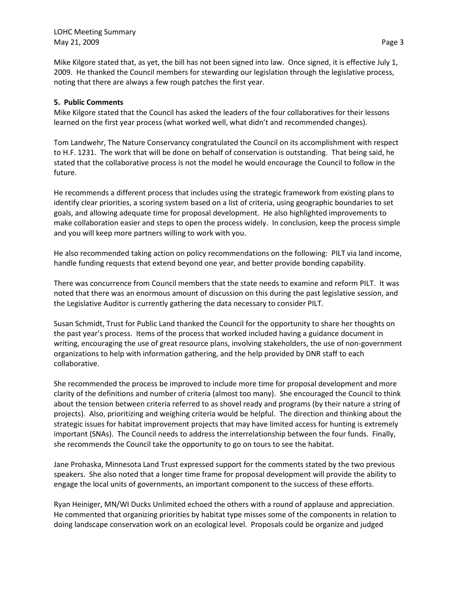Mike Kilgore stated that, as yet, the bill has not been signed into law. Once signed, it is effective July 1, 2009. He thanked the Council members for stewarding our legislation through the legislative process, noting that there are always a few rough patches the first year.

### **5. Public Comments**

Mike Kilgore stated that the Council has asked the leaders of the four collaboratives for their lessons learned on the first year process (what worked well, what didn't and recommended changes).

Tom Landwehr, The Nature Conservancy congratulated the Council on its accomplishment with respect to H.F. 1231. The work that will be done on behalf of conservation is outstanding. That being said, he stated that the collaborative process is not the model he would encourage the Council to follow in the future.

He recommends a different process that includes using the strategic framework from existing plans to identify clear priorities, a scoring system based on a list of criteria, using geographic boundaries to set goals, and allowing adequate time for proposal development. He also highlighted improvements to make collaboration easier and steps to open the process widely. In conclusion, keep the process simple and you will keep more partners willing to work with you.

He also recommended taking action on policy recommendations on the following: PILT via land income, handle funding requests that extend beyond one year, and better provide bonding capability.

There was concurrence from Council members that the state needs to examine and reform PILT. It was noted that there was an enormous amount of discussion on this during the past legislative session, and the Legislative Auditor is currently gathering the data necessary to consider PILT.

Susan Schmidt, Trust for Public Land thanked the Council for the opportunity to share her thoughts on the past year's process. Items of the process that worked included having a guidance document in writing, encouraging the use of great resource plans, involving stakeholders, the use of non-government organizations to help with information gathering, and the help provided by DNR staff to each collaborative.

She recommended the process be improved to include more time for proposal development and more clarity of the definitions and number of criteria (almost too many). She encouraged the Council to think about the tension between criteria referred to as shovel ready and programs (by their nature a string of projects). Also, prioritizing and weighing criteria would be helpful. The direction and thinking about the strategic issues for habitat improvement projects that may have limited access for hunting is extremely important (SNAs). The Council needs to address the interrelationship between the four funds. Finally, she recommends the Council take the opportunity to go on tours to see the habitat.

Jane Prohaska, Minnesota Land Trust expressed support for the comments stated by the two previous speakers. She also noted that a longer time frame for proposal development will provide the ability to engage the local units of governments, an important component to the success of these efforts.

Ryan Heiniger, MN/WI Ducks Unlimited echoed the others with a round of applause and appreciation. He commented that organizing priorities by habitat type misses some of the components in relation to doing landscape conservation work on an ecological level. Proposals could be organize and judged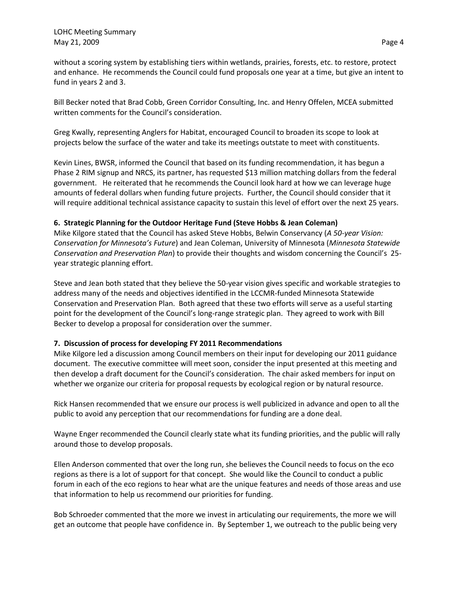without a scoring system by establishing tiers within wetlands, prairies, forests, etc. to restore, protect and enhance. He recommends the Council could fund proposals one year at a time, but give an intent to fund in years 2 and 3.

Bill Becker noted that Brad Cobb, Green Corridor Consulting, Inc. and Henry Offelen, MCEA submitted written comments for the Council's consideration.

Greg Kwally, representing Anglers for Habitat, encouraged Council to broaden its scope to look at projects below the surface of the water and take its meetings outstate to meet with constituents.

Kevin Lines, BWSR, informed the Council that based on its funding recommendation, it has begun a Phase 2 RIM signup and NRCS, its partner, has requested \$13 million matching dollars from the federal government. He reiterated that he recommends the Council look hard at how we can leverage huge amounts of federal dollars when funding future projects. Further, the Council should consider that it will require additional technical assistance capacity to sustain this level of effort over the next 25 years.

# **6. Strategic Planning for the Outdoor Heritage Fund (Steve Hobbs & Jean Coleman)**

Mike Kilgore stated that the Council has asked Steve Hobbs, Belwin Conservancy (*A 50-year Vision: Conservation for Minnesota's Future*) and Jean Coleman, University of Minnesota (*Minnesota Statewide Conservation and Preservation Plan*) to provide their thoughts and wisdom concerning the Council's 25 year strategic planning effort.

Steve and Jean both stated that they believe the 50-year vision gives specific and workable strategies to address many of the needs and objectives identified in the LCCMR-funded Minnesota Statewide Conservation and Preservation Plan. Both agreed that these two efforts will serve as a useful starting point for the development of the Council's long-range strategic plan. They agreed to work with Bill Becker to develop a proposal for consideration over the summer.

# **7. Discussion of process for developing FY 2011 Recommendations**

Mike Kilgore led a discussion among Council members on their input for developing our 2011 guidance document. The executive committee will meet soon, consider the input presented at this meeting and then develop a draft document for the Council's consideration. The chair asked members for input on whether we organize our criteria for proposal requests by ecological region or by natural resource.

Rick Hansen recommended that we ensure our process is well publicized in advance and open to all the public to avoid any perception that our recommendations for funding are a done deal.

Wayne Enger recommended the Council clearly state what its funding priorities, and the public will rally around those to develop proposals.

Ellen Anderson commented that over the long run, she believes the Council needs to focus on the eco regions as there is a lot of support for that concept. She would like the Council to conduct a public forum in each of the eco regions to hear what are the unique features and needs of those areas and use that information to help us recommend our priorities for funding.

Bob Schroeder commented that the more we invest in articulating our requirements, the more we will get an outcome that people have confidence in. By September 1, we outreach to the public being very